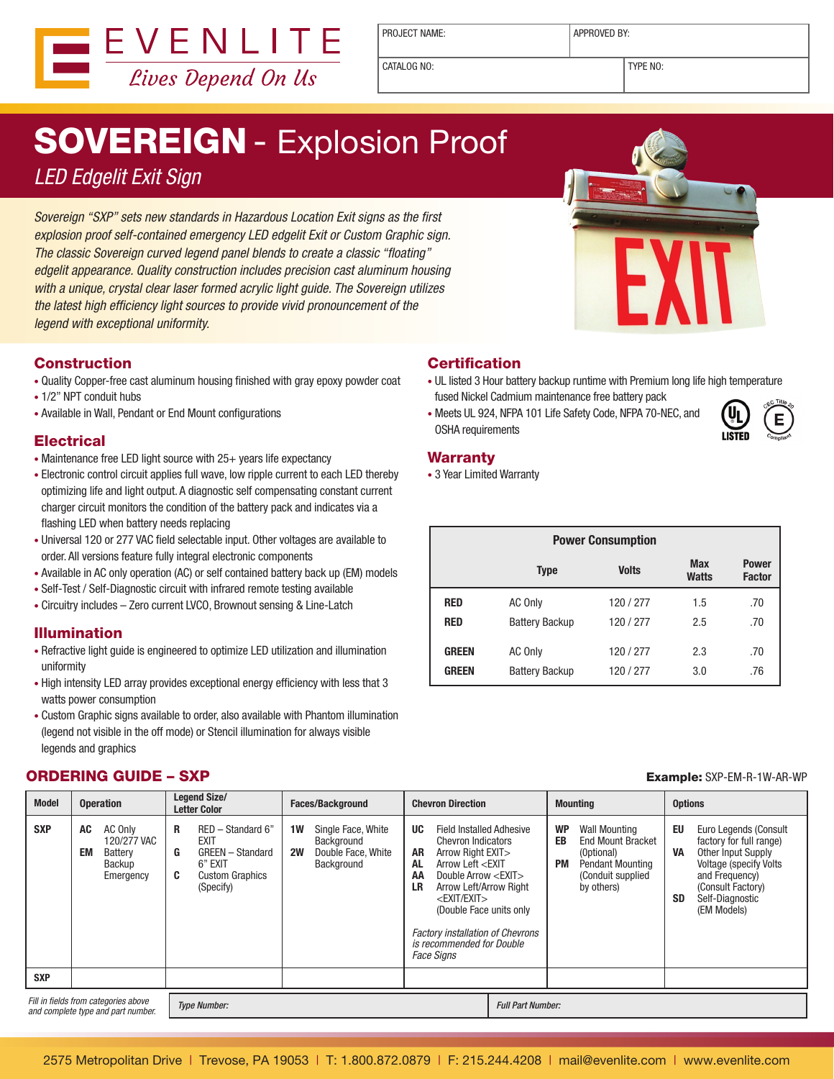

PROJECT NAME:  $\vert$  APPROVED BY:

CATALOG NO: TYPE NO:

# SOVEREIGN - Explosion Proof

### LED Edgelit Exit Sign

Sovereign "SXP" sets new standards in Hazardous Location Exit signs as the first explosion proof self-contained emergency LED edgelit Exit or Custom Graphic sign. The classic Sovereign curved legend panel blends to create a classic "floating" edgelit appearance. Quality construction includes precision cast aluminum housing with a unique, crystal clear laser formed acrylic light quide. The Sovereign utilizes the latest high efficiency light sources to provide vivid pronouncement of the legend with exceptional uniformity.

#### Construction

- • Quality Copper-free cast aluminum housing finished with gray epoxy powder coat
- 1/2" NPT conduit hubs
- • Available in Wall, Pendant or End Mount configurations

#### **Electrical**

- Maintenance free LED light source with 25+ years life expectancy
- Electronic control circuit applies full wave, low ripple current to each LED thereby optimizing life and light output. A diagnostic self compensating constant current charger circuit monitors the condition of the battery pack and indicates via a flashing LED when battery needs replacing
- • Universal 120 or 277 VAC field selectable input. Other voltages are available to order. All versions feature fully integral electronic components
- Available in AC only operation (AC) or self contained battery back up (EM) models
- Self-Test / Self-Diagnostic circuit with infrared remote testing available
- • Circuitry includes Zero current LVCO, Brownout sensing & Line-Latch

#### Illumination

- • Refractive light guide is engineered to optimize LED utilization and illumination uniformity
- High intensity LED array provides exceptional energy efficiency with less that 3 watts power consumption
- • Custom Graphic signs available to order, also available with Phantom illumination (legend not visible in the off mode) or Stencil illumination for always visible legends and graphics

#### ORDERING GUIDE – SXP Example: SXP-EM-R-1W-AR-WP



#### **Certification**

- UL listed 3 Hour battery backup runtime with Premium long life high temperature fused Nickel Cadmium maintenance free battery pack
- Meets UL 924, NFPA 101 Life Safety Code, NFPA 70-NEC, and OSHA requirements



#### **Warranty**

• 3 Year Limited Warranty

|              | <b>Power Consumption</b> |              |                            |                               |
|--------------|--------------------------|--------------|----------------------------|-------------------------------|
|              | <b>Type</b>              | <b>Volts</b> | <b>Max</b><br><b>Watts</b> | <b>Power</b><br><b>Factor</b> |
| <b>RED</b>   | AC Only                  | 120 / 277    | 1.5                        | .70                           |
| <b>RED</b>   | <b>Battery Backup</b>    | 120/277      | 2.5                        | .70                           |
| <b>GREEN</b> | AC Only                  | 120 / 277    | 2.3                        | .70                           |
| <b>GREEN</b> | <b>Battery Backup</b>    | 120 / 277    | 3.0                        | .76                           |